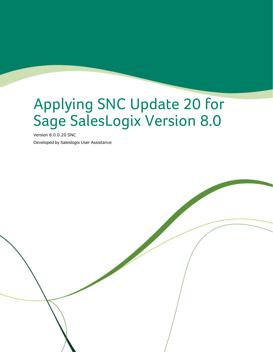# Applying SNC Update 20 for Sage SalesLogix Version 8.0

Version 8.0.0.20 SNC Developed by Saleslogix User Assistance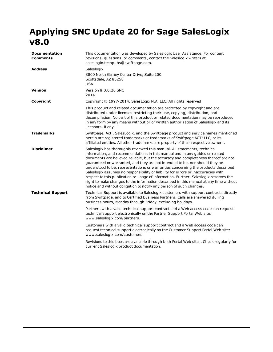## **Applying SNC Update 20 for Sage SalesLogix v8.0**

| <b>Documentation</b><br>Comments | This documentation was developed by Saleslogix User Assistance. For content<br>revisions, questions, or comments, contact the Saleslogix writers at<br>saleslogix.techpubs@swiftpage.com.                                                                                                                                                                                                                                                                                                                                                                                                                                                                                                                                                                           |
|----------------------------------|---------------------------------------------------------------------------------------------------------------------------------------------------------------------------------------------------------------------------------------------------------------------------------------------------------------------------------------------------------------------------------------------------------------------------------------------------------------------------------------------------------------------------------------------------------------------------------------------------------------------------------------------------------------------------------------------------------------------------------------------------------------------|
| <b>Address</b>                   | Saleslogix<br>8800 North Gainey Center Drive, Suite 200<br>Scottsdale, AZ 85258<br><b>USA</b>                                                                                                                                                                                                                                                                                                                                                                                                                                                                                                                                                                                                                                                                       |
| <b>Version</b>                   | Version 8.0.0.20 SNC<br>2014                                                                                                                                                                                                                                                                                                                                                                                                                                                                                                                                                                                                                                                                                                                                        |
| Copyright                        | Copyright © 1997-2014, SalesLogix N.A, LLC. All rights reserved                                                                                                                                                                                                                                                                                                                                                                                                                                                                                                                                                                                                                                                                                                     |
|                                  | This product and related documentation are protected by copyright and are<br>distributed under licenses restricting their use, copying, distribution, and<br>decompilation. No part of this product or related documentation may be reproduced<br>in any form by any means without prior written authorization of Saleslogix and its<br>licensors, if any.                                                                                                                                                                                                                                                                                                                                                                                                          |
| <b>Trademarks</b>                | Swiftpage, Act!, SalesLogix, and the Swiftpage product and service names mentioned<br>herein are registered trademarks or trademarks of Swiftpage ACT! LLC, or its<br>affiliated entities. All other trademarks are property of their respective owners.                                                                                                                                                                                                                                                                                                                                                                                                                                                                                                            |
| <b>Disclaimer</b>                | Saleslogix has thoroughly reviewed this manual. All statements, technical<br>information, and recommendations in this manual and in any guides or related<br>documents are believed reliable, but the accuracy and completeness thereof are not<br>guaranteed or warranted, and they are not intended to be, nor should they be<br>understood to be, representations or warranties concerning the products described.<br>Saleslogix assumes no responsibility or liability for errors or inaccuracies with<br>respect to this publication or usage of information. Further, Saleslogix reserves the<br>right to make changes to the information described in this manual at any time without<br>notice and without obligation to notify any person of such changes. |
| <b>Technical Support</b>         | Technical Support is available to Saleslogix customers with support contracts directly<br>from Swiftpage, and to Certified Business Partners. Calls are answered during<br>business hours, Monday through Friday, excluding holidays.                                                                                                                                                                                                                                                                                                                                                                                                                                                                                                                               |
|                                  | Partners with a valid technical support contract and a Web access code can request<br>technical support electronically on the Partner Support Portal Web site:<br>www.saleslogix.com/partners.                                                                                                                                                                                                                                                                                                                                                                                                                                                                                                                                                                      |
|                                  | Customers with a valid technical support contract and a Web access code can<br>request technical support electronically on the Customer Support Portal Web site:<br>www.saleslogix.com/customers.                                                                                                                                                                                                                                                                                                                                                                                                                                                                                                                                                                   |
|                                  | Revisions to this book are available through both Portal Web sites. Check regularly for<br>current Saleslogix product documentation.                                                                                                                                                                                                                                                                                                                                                                                                                                                                                                                                                                                                                                |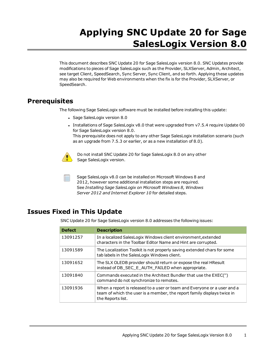# **Applying SNC Update 20 for Sage SalesLogix Version 8.0**

This document describes SNC Update 20 for Sage SalesLogix version 8.0. SNC Updates provide modifications to pieces of Sage SalesLogix such as the Provider, SLXServer, Admin, Architect, see target Client, SpeedSearch, Sync Server, Sync Client, and so forth. Applying these updates may also be required for Web environments when the fix is for the Provider, SLXServer, or SpeedSearch.

### **Prerequisites**

The following Sage SalesLogix software must be installed before installing this update:

- Sage SalesLogix version 8.0
- Installations of Sage SalesLogix v8.0 that were upgraded from v7.5.4 require Update 00 for Sage SalesLogix version 8.0. This prerequisite does not apply to any other Sage SalesLogix installation scenario (such as an upgrade from 7.5.3 or earlier, or as a new installation of 8.0).



Do not install SNC Update 20 for Sage SalesLogix 8.0 on any other Sage SalesLogix version.

Sage SalesLogix v8.0 can be installed on Microsoft Windows 8 and 2012, however some additional installation steps are required. See *Installing Sage SalesLogix on Microsoft Windows 8, Windows Server 2012 and Internet Explorer 10* for detailed steps.

## **Issues Fixed in This Update**

SNC Update 20 for Sage SalesLogix version 8.0 addresses the following issues:

| <b>Defect</b> | <b>Description</b>                                                                                                                                                       |
|---------------|--------------------------------------------------------------------------------------------------------------------------------------------------------------------------|
| 13091257      | In a localized SalesLogix Windows client environment, extended<br>characters in the Toolbar Editor Name and Hint are corrupted.                                          |
| 13091589      | The Localization Toolkit is not properly saving extended chars for some<br>tab labels in the SalesLogix Windows client.                                                  |
| 13091652      | The SLX OLEDB provider should return or expose the real HResult<br>instead of DB_SEC_E_AUTH_FAILED when appropriate.                                                     |
| 13091840      | Commands executed in the Architect Bundler that use the EXEC(")<br>command do not synchronize to remotes.                                                                |
| 13091936      | When a report is released to a user or team and Everyone or a user and a<br>team of which the user is a member, the report family displays twice in<br>the Reports list. |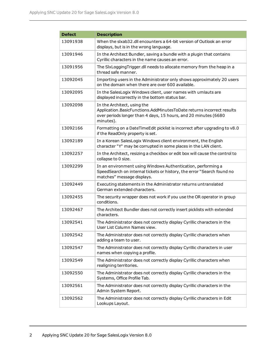| <b>Defect</b> | <b>Description</b>                                                                                                                                                                   |
|---------------|--------------------------------------------------------------------------------------------------------------------------------------------------------------------------------------|
| 13091938      | When the slxab32.dll encounters a 64-bit version of Outlook an error<br>displays, but is in the wrong language.                                                                      |
| 13091946      | In the Architect Bundler, saving a bundle with a plugin that contains<br>Cyrillic characters in the name causes an error.                                                            |
| 13091956      | The SIxLoggingTrigger.dll needs to allocate memory from the heap in a<br>thread safe manner.                                                                                         |
| 13092045      | Importing users in the Administrator only shows approximately 20 users<br>on the domain when there are over 600 available.                                                           |
| 13092095      | In the SalesLogix Windows client, user names with umlauts are<br>displayed incorrectly in the bottom status bar.                                                                     |
| 13092098      | In the Architect, using the<br>Application.BasicFunctions.AddMinutesToDate returns incorrect results<br>over periods longer than 4 days, 15 hours, and 20 minutes (6680<br>minutes). |
| 13092166      | Formatting on a DateTimeEdit picklist is incorrect after upgrading to v8.0<br>if the ReadOnly property is set.                                                                       |
| 13092189      | In a Korean SalesLogix Windows client environment, the English<br>character "Y" may be corrupted in some places in the LAN client.                                                   |
| 13092257      | In the Architect, resizing a checkbox or edit box will cause the control to<br>collapse to 0 size.                                                                                   |
| 13092299      | In an environment using Windows Authentication, performing a<br>SpeedSearch on internal tickets or history, the error "Search found no<br>matches" message displays.                 |
| 13092449      | Executing statements in the Administrator returns untranslated<br>German extended characters.                                                                                        |
| 13092455      | The security wrapper does not work if you use the OR operator in group<br>conditions.                                                                                                |
| 13092467      | The Architect Bundler does not correctly insert picklists with extended<br>characters.                                                                                               |
| 13092541      | The Administrator does not correctly display Cyrillic characters in the<br>User List Column Names view.                                                                              |
| 13092542      | The Administrator does not correctly display Cyrillic characters when<br>adding a team to user.                                                                                      |
| 13092547      | The Administrator does not correctly display Cyrillic characters in user<br>names when copying a profile.                                                                            |
| 13092549      | The Administrator does not correctly display Cyrillic characters when<br>realigning territories.                                                                                     |
| 13092550      | The Administrator does not correctly display Cyrillic characters in the<br>Systems, Office Profile Tab.                                                                              |
| 13092561      | The Administrator does not correctly display Cyrillic characters in the<br>Admin System Report.                                                                                      |
| 13092562      | The Administrator does not correctly display Cyrillic characters in Edit<br>Lookups Layout.                                                                                          |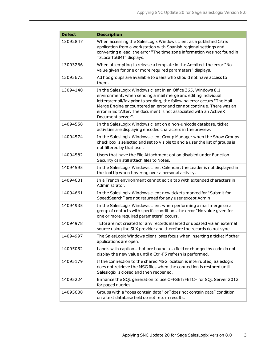| <b>Defect</b> | <b>Description</b>                                                                                                                                                                                                                                                                                                                                                            |
|---------------|-------------------------------------------------------------------------------------------------------------------------------------------------------------------------------------------------------------------------------------------------------------------------------------------------------------------------------------------------------------------------------|
| 13092847      | When accessing the SalesLogix Windows client as a published Citrix<br>application from a workstation with Spanish regional settings and<br>converting a lead, the error "The time zone information was not found in<br>TzLocalToGMT" displays.                                                                                                                                |
| 13093266      | When attempting to release a template in the Architect the error "No<br>value given for one or more required parameters" displays.                                                                                                                                                                                                                                            |
| 13093672      | Ad hoc groups are available to users who should not have access to<br>them.                                                                                                                                                                                                                                                                                                   |
| 13094140      | In the SalesLogix Windows client in an Office 365, Windows 8.1<br>environment, when sending a mail merge and editing individual<br>letters/email/fax prior to sending, the following error occurs "The Mail<br>Merge Engine encountered an error and cannot continue. There was an<br>error in EditAfter. The document is not associated with an ActiveX<br>Document server". |
| 14094558      | In the SalesLogix Windows client on a non-unicode database, ticket<br>activities are displaying encoded characters in the preview.                                                                                                                                                                                                                                            |
| 14094574      | In the SalesLogix Windows client Group Manager when the Show Groups<br>check box is selected and set to Visible to and a user the list of groups is<br>not filtered by that user.                                                                                                                                                                                             |
| 14094582      | Users that have the File Attachment option disabled under Function<br>Security can still attach files to Notes.                                                                                                                                                                                                                                                               |
| 14094595      | In the SalesLogix Windows client Calendar, the Leader is not displayed in<br>the tool tip when hovering over a personal activity.                                                                                                                                                                                                                                             |
| 14094601      | In a French environment cannot edit a tab with extended characters in<br>Administrator.                                                                                                                                                                                                                                                                                       |
| 14094661      | In the SalesLogix Windows client new tickets marked for "Submit for<br>SpeedSearch" are not returned for any user except Admin.                                                                                                                                                                                                                                               |
| 14094935      | In the SalesLogix Windows client when performing a mail merge on a<br>group of contacts with specific conditions the error "No value given for<br>one or more required parameters" occurs.                                                                                                                                                                                    |
| 14094978      | TEFS are not created for any records inserted or updated via an external<br>source using the SLX provider and therefore the records do not sync.                                                                                                                                                                                                                              |
| 14094997      | The SalesLogix Windows client loses focus when inserting a ticket if other<br>applications are open.                                                                                                                                                                                                                                                                          |
| 14095052      | Labels with captions that are bound to a field or changed by code do not<br>display the new value until a Ctrl-F5 refresh is performed.                                                                                                                                                                                                                                       |
| 14095179      | If the connection to the shared MSG location is interrupted, Saleslogix<br>does not retrieve the MSG files when the connection is restored until<br>Saleslogix is closed and then reopened.                                                                                                                                                                                   |
| 14095224      | Enhance the SQL generation to use OFFSET/FETCH for SQL Server 2012<br>for paged queries.                                                                                                                                                                                                                                                                                      |
| 14095608      | Groups with a "does contain data" or "does not contain data" condition<br>on a text database field do not return results.                                                                                                                                                                                                                                                     |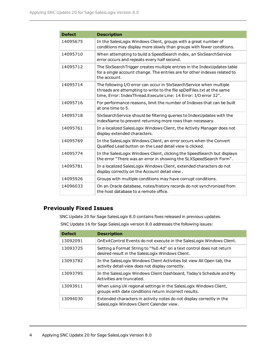| <b>Defect</b> | <b>Description</b>                                                                                                                                                                                               |
|---------------|------------------------------------------------------------------------------------------------------------------------------------------------------------------------------------------------------------------|
| 14095675      | In the SalesLogix Windows Client, groups with a great number of<br>conditions may display more slowly than groups with fewer conditions.                                                                         |
| 14095710      | When attempting to build a SpeedSearch index, an SlxSearchService<br>error occurs and repeats every half second.                                                                                                 |
| 14095712      | The SIxSearchTrigger creates multiple entries in the IndexUpdates table<br>for a single account change. The entries are for other indexes related to<br>the account.                                             |
| 14095714      | The following I/O error can occur in SlxSearchService when multiple<br>threads are attempting to write to the file spDelFiles.txt at the same<br>time, Error: IndexThread.Execute Line: 14 Error: I/O error 32". |
| 14095716      | For performance reasons, limit the number of Indexes that can be built<br>at one time to 5.                                                                                                                      |
| 14095718      | SIxSearchService should be filtering queries to IndexUpdates with the<br>indexName to prevent returning more rows than necessary.                                                                                |
| 14095761      | In a localized SalesLogix Windows Client, the Activity Manager does not<br>display extended characters.                                                                                                          |
| 14095769      | In the SalesLogix Windows Client, an error occurs when the Convert<br>Qualified Lead button on the Lead detail view is clicked.                                                                                  |
| 14095774      | In the SalesLogix Windows Client, clicking the SpeedSearch but displays<br>the error "There was an error in showing the SLXSpeedSearch Form".                                                                    |
| 14095781      | In a localized SalesLogix Windows Client, extended characters do not<br>display correctly on the Account detail view.                                                                                            |
| 14095926      | Groups with multiple conditions may have corrupt conditions.                                                                                                                                                     |
| 14096033      | On an Oracle database, notes/history records do not synchronized from<br>the host database to a remote office.                                                                                                   |

#### **Previously Fixed Issues**

SNC Update 20 for Sage SalesLogix 8.0 contains fixes released in previous updates.

SNC Update 16 for Sage SalesLogix version 8.0 addresses the following issues:

| <b>Defect</b> | <b>Description</b>                                                                                                          |
|---------------|-----------------------------------------------------------------------------------------------------------------------------|
| 13092091      | On Exit Control Events do not execute in the Sales Logix Windows Client.                                                    |
| 13093725      | Setting a Format String to "%0.4d" on a text control does not return<br>desired result in the SalesLogix Windows Client.    |
| 13093782      | In the SalesLogix Windows Client Activities list view All Open tab, the<br>activity detail view does not display correctly. |
| 13093795      | In the SalesLogix Windows Client Dashboard, Today's Schedule and My<br>Activities are truncated.                            |
| 13093911      | When using UK regional settings in the SalesLogix Windows Client,<br>groups with date conditions return incorrect results.  |
| 13094030      | Extended characters in activity notes do not display correctly in the<br>SalesLogix Windows Client Calendar view.           |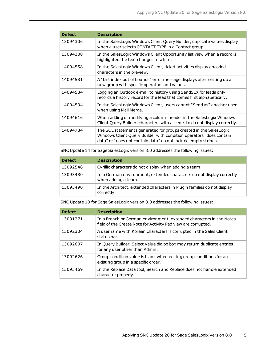| <b>Defect</b> | <b>Description</b>                                                                                                                                                                                         |
|---------------|------------------------------------------------------------------------------------------------------------------------------------------------------------------------------------------------------------|
| 13094306      | In the SalesLogix Windows Client Query Builder, duplicate values display<br>when a user selects CONTACT. TYPE in a Contact group.                                                                          |
| 13094308      | In the SalesLogix Windows Client Opportunity list view when a record is<br>highlighted the text changes to white.                                                                                          |
| 14094558      | In the SalesLogix Windows Client, ticket activities display encoded<br>characters in the preview.                                                                                                          |
| 14094581      | A "List index out of bounds" error message displays after setting up a<br>new group with specific operators and values.                                                                                    |
| 14094584      | Logging an Outlook e-mail to history using SendSLX for leads only<br>records a history record for the lead that comes first alphabetically.                                                                |
| 14094594      | In the SalesLogix Windows Client, users cannot "Send as" another user<br>when using Mail Merge.                                                                                                            |
| 14094616      | When adding or modifying a column header in the SalesLogix Windows<br>Client Query Builder, characters with accents to do not display correctly.                                                           |
| 14094784      | The SQL statements generated for groups created in the SalesLogix<br>Windows Client Query Builder with condition operators "does contain<br>data" or "does not contain data" do not include empty strings. |

SNC Update 14 for Sage SalesLogix version 8.0 addresses the following issues:

| <b>Defect</b> | <b>Description</b>                                                                           |
|---------------|----------------------------------------------------------------------------------------------|
| 13092548      | Cyrillic characters do not display when adding a team.                                       |
| 13093480      | In a German environment, extended characters do not display correctly<br>when adding a team. |
| 13093490      | In the Architect, extended characters in Plugin families do not display<br>correctly.        |

SNC Update 13 for Sage SalesLogix version 8.0 addresses the following issues:

| <b>Defect</b> | <b>Description</b>                                                                                                                   |
|---------------|--------------------------------------------------------------------------------------------------------------------------------------|
| 13091271      | In a French or German environment, extended characters in the Notes<br>field of the Create Note for Activity Pad view are corrupted. |
| 13092304      | A username with Korean characters is corrupted in the Sales Client<br>status bar.                                                    |
| 13092607      | In Query Builder, Select Value dialog box may return duplicate entries<br>for any user other than Admin.                             |
| 13092626      | Group condition value is blank when editing group conditions for an<br>existing group in a specific order.                           |
| 13093469      | In the Replace Data tool, Search and Replace does not handle extended<br>character properly.                                         |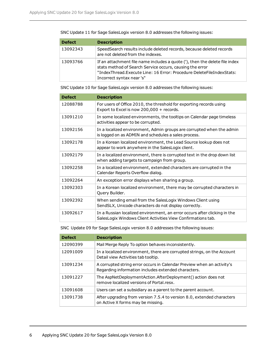SNC Update 11 for Sage SalesLogix version 8.0 addresses the following issues:

| <b>Defect</b> | <b>Description</b>                                                                                                                                                                                                                           |
|---------------|----------------------------------------------------------------------------------------------------------------------------------------------------------------------------------------------------------------------------------------------|
| 13092343      | SpeedSearch results include deleted records, because deleted records<br>are not deleted from the indexes.                                                                                                                                    |
| 13093766      | If an attachment file name includes a quote ('), then the delete file index<br>stats method of Search Service occurs, causing the error<br>"IndexThread.Execute Line: 16 Error: Procedure DeleteFileIndexStats:<br>Incorrect syntax near 's" |

SNC Update 10 for Sage SalesLogix version 8.0 addresses the following issues:

| <b>Defect</b> | <b>Description</b>                                                                                                                        |
|---------------|-------------------------------------------------------------------------------------------------------------------------------------------|
| 12088788      | For users of Office 2010, the threshold for exporting records using<br>Export to Excel is now 200,000 + records.                          |
| 13091210      | In some localized environments, the tooltips on Calendar page timeless<br>activities appear to be corrupted.                              |
| 13092156      | In a localized environment, Admin groups are corrupted when the admin<br>is logged on as ADMIN and schedules a sales process.             |
| 13092178      | In a Korean localized environment, the Lead Source lookup does not<br>appear to work anywhere in the SalesLogix client.                   |
| 13092179      | In a localized environment, there is corrupted text in the drop down list<br>when adding targets to campaign from group.                  |
| 13092258      | In a localized environment, extended characters are corrupted in the<br>Calendar Reports Overflow dialog.                                 |
| 13092264      | An exception error displays when sharing a group.                                                                                         |
| 13092303      | In a Korean localized environment, there may be corrupted characters in<br>Query Builder.                                                 |
| 13092392      | When sending email from the SalesLogix Windows Client using<br>SendSLX, Unicode characters do not display correctly.                      |
| 13092617      | In a Russian localized environment, an error occurs after clicking in the<br>SalesLogix Windows Client Activities View Confirmations tab. |

SNC Update 09 for Sage SalesLogix version 8.0 addresses the following issues:

| <b>Defect</b> | <b>Description</b>                                                                                                            |
|---------------|-------------------------------------------------------------------------------------------------------------------------------|
| 12090399      | Mail Merge Reply To option behaves inconsistently.                                                                            |
| 12091009      | In a localized environment, there are corrupted strings, on the Account<br>Detail view Activities tab tooltip.                |
| 13091234      | A corrupted string error occurs in Calendar Preview when an activity's<br>Regarding information includes extended characters. |
| 13091227      | The AspNetDeploymentAction.AfterDeployment() action does not<br>remove localized versions of Portal resx.                     |
| 13091608      | Users can set a subsidiary as a parent to the parent account.                                                                 |
| 13091738      | After upgrading from version 7.5.4 to version 8.0, extended characters<br>on Active X forms may be missing.                   |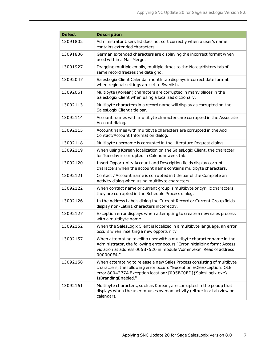| <b>Defect</b> | <b>Description</b>                                                                                                                                                                                                                        |
|---------------|-------------------------------------------------------------------------------------------------------------------------------------------------------------------------------------------------------------------------------------------|
| 13091802      | Administrator Users list does not sort correctly when a user's name<br>contains extended characters.                                                                                                                                      |
| 13091836      | German extended characters are displaying the incorrect format when<br>used within a Mail Merge.                                                                                                                                          |
| 13091927      | Dragging multiple emails, multiple times to the Notes/History tab of<br>same record freezes the data grid.                                                                                                                                |
| 13092047      | SalesLogix Client Calendar month tab displays incorrect date format<br>when regional settings are set to Swedish.                                                                                                                         |
| 13092061      | Multibyte (Korean) characters are corrupted in many places in the<br>SalesLogix Client when using a localized dictionary.                                                                                                                 |
| 13092113      | Multibyte characters in a record name will display as corrupted on the<br>SalesLogix Client title bar.                                                                                                                                    |
| 13092114      | Account names with multibyte characters are corrupted in the Associate<br>Account dialog.                                                                                                                                                 |
| 13092115      | Account names with multibyte characters are corrupted in the Add<br>Contact/Account Information dialog.                                                                                                                                   |
| 13092118      | Multibyte username is corrupted in the Literature Request dialog.                                                                                                                                                                         |
| 13092119      | When using Korean localization on the SalesLogix Client, the character<br>for Tuesday is corrupted in Calendar week tab.                                                                                                                  |
| 13092120      | Insert Opportunity Account and Description fields display corrupt<br>characters when the account name contains multibyte characters.                                                                                                      |
| 13092121      | Contact / Account name is corrupted in title bar of the Complete an<br>Activity dialog when using multibyte characters.                                                                                                                   |
| 13092122      | When contact name or current group is multibyte or cyrillic characters,<br>they are corrupted in the Schedule Process dialog.                                                                                                             |
| 13092126      | In the Address Labels dialog the Current Record or Current Group fields<br>display non-Latin1 characters incorrectly.                                                                                                                     |
| 13092127      | Exception error displays when attempting to create a new sales process<br>with a multibyte name.                                                                                                                                          |
| 13092152      | When the SalesLogix Client is localized in a multibyte language, an error<br>occurs when inserting a new opportunity                                                                                                                      |
| 13092157      | When attempting to edit a user with a multibyte character name in the<br>Administrator, the following error occurs "Error initializing form: Access<br>violation at address 005B7520 in module 'Admin.exe'. Read of address<br>000000F4." |
| 13092158      | When attempting to release a new Sales Process consisting of multibyte<br>characters, the following error occurs "Exception EOleException: OLE<br>error 8004277A Exception location: [005BC0ED]{SalesLogix.exe}<br>IsBrandingEnabled."    |
| 13092161      | Multibyte characters, such as Korean, are corrupted in the popup that<br>displays when the user mouses over an activity (either in a tab view or<br>calendar).                                                                            |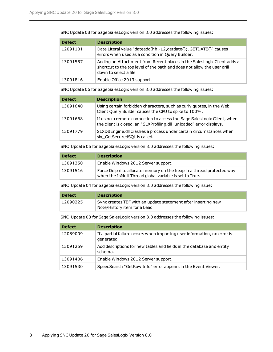SNC Update 08 for Sage SalesLogix version 8.0 addresses the following issues:

| <b>Defect</b> | <b>Description</b>                                                                                                                                                          |
|---------------|-----------------------------------------------------------------------------------------------------------------------------------------------------------------------------|
| 12091101      | Date Literal value "dateadd(hh,-12, get date()), GETDATE()" causes<br>errors when used as a condition in Query Builder.                                                     |
| 13091557      | Adding an Attachment from Recent places in the SalesLogix Client adds a<br>shortcut to the top level of the path and does not allow the user drill<br>down to select a file |
| 13091816      | Enable Office 2013 support.                                                                                                                                                 |

SNC Update 06 for Sage SalesLogix version 8.0 addresses the following issues:

| <b>Defect</b> | <b>Description</b>                                                                                                                              |
|---------------|-------------------------------------------------------------------------------------------------------------------------------------------------|
| 13091640      | Using certain forbidden characters, such as curly quotes, in the Web<br>Client Query Builder causes the CPU to spike to 100%.                   |
| 13091668      | If using a remote connection to access the Sage SalesLogix Client, when<br>the client is closed, an "SLXProfiling.dll_unloaded" error displays. |
| 13091779      | SLXDBEngine.dll crashes a process under certain circumstances when<br>slx GetSecuredSQL is called.                                              |

SNC Update 05 for Sage SalesLogix version 8.0 addresses the following issues:

| <b>Defect</b> | <b>Description</b>                                                                                                              |
|---------------|---------------------------------------------------------------------------------------------------------------------------------|
| 13091350      | Enable Windows 2012 Server support.                                                                                             |
| 13091516      | Force Delphi to allocate memory on the heap in a thread protected way<br>when the IsMultiThread global variable is set to True. |

SNC Update 04 for Sage SalesLogix version 8.0 addresses the following issue:

| <b>Defect</b> | <b>Description</b>                                            |
|---------------|---------------------------------------------------------------|
| 12090225      | Sync creates TEF with an update statement after inserting new |
|               | Note/History item for a Lead                                  |

SNC Update 03 for Sage SalesLogix version 8.0 addresses the following issues:

| <b>Defect</b> | <b>Description</b>                                                                     |
|---------------|----------------------------------------------------------------------------------------|
| 12089009      | If a partial failure occurs when importing user information, no error is<br>generated. |
| 13091259      | Add descriptions for new tables and fields in the database and entity<br>schema.       |
| 13091406      | Enable Windows 2012 Server support.                                                    |
| 13091530      | SpeedSearch "GetRow Info" error appears in the Event Viewer.                           |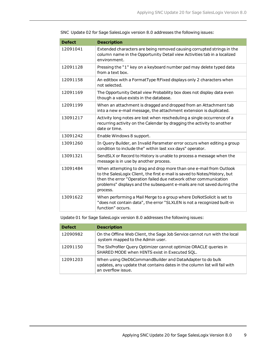| <b>Defect</b> | <b>Description</b>                                                                                                                                                                                                                                                                                        |
|---------------|-----------------------------------------------------------------------------------------------------------------------------------------------------------------------------------------------------------------------------------------------------------------------------------------------------------|
| 12091041      | Extended characters are being removed causing corrupted strings in the<br>column name in the Opportunity Detail view Activities tab in a localized<br>environment.                                                                                                                                        |
| 12091128      | Pressing the "1" key on a keyboard number pad may delete typed data<br>from a text box.                                                                                                                                                                                                                   |
| 12091158      | An editbox with a FormatType ftFixed displays only 2 characters when<br>not selected.                                                                                                                                                                                                                     |
| 12091169      | The Opportunity Detail view Probability box does not display data even<br>though a value exists in the database.                                                                                                                                                                                          |
| 12091199      | When an attachment is dragged and dropped from an Attachment tab<br>into a new e-mail message, the attachment extension is duplicated.                                                                                                                                                                    |
| 13091217      | Activity long notes are lost when rescheduling a single occurrence of a<br>recurring activity on the Calendar by dragging the activity to another<br>date or time.                                                                                                                                        |
| 13091242      | Enable Windows 8 support.                                                                                                                                                                                                                                                                                 |
| 13091260      | In Query Builder, an Invalid Parameter error occurs when editing a group<br>condition to include the" within last xxx days" operator.                                                                                                                                                                     |
| 13091321      | SendSLX or Record to History is unable to process a message when the<br>message is in use by another process.                                                                                                                                                                                             |
| 13091484      | When attempting to drag and drop more than one e-mail from Outlook<br>to the SalesLogix Client, the first e-mail is saved to Notes/History, but<br>then the error "Operation failed due network other communication<br>problems" displays and the subsequent e-mails are not saved during the<br>process. |
| 13091622      | When performing a Mail Merge to a group where DoNotSolicit is set to<br>"does not contain data", the error "SLXLEN is not a recognized built-in<br>function" occurs.                                                                                                                                      |

SNC Update 02 for Sage SalesLogix version 8.0 addresses the following issues:

Update 01 for Sage SalesLogix version 8.0 addresses the following issues:

| <b>Defect</b> | <b>Description</b>                                                                                                                                           |
|---------------|--------------------------------------------------------------------------------------------------------------------------------------------------------------|
| 12090982      | On the Offline Web Client, the Sage Job Service cannot run with the local<br>system mapped to the Admin user.                                                |
| 12091150      | The SIxProfiler Query Optimizer cannot optimize ORACLE queries in<br>SHARED MODE when HINTS exist in Executed SQL.                                           |
| 12091203      | When using OleDbCommandBuilder and DataAdapter to do bulk<br>updates, any update that contains dates in the column list will fail with<br>an overflow issue. |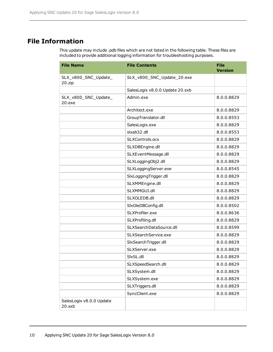## **File Information**

This update may include .pdb files which are not listed in the following table. These files are included to provide additional logging information for troubleshooting purposes.

| <b>File Name</b>                   | <b>File Contents</b>            | <b>File</b><br><b>Version</b> |
|------------------------------------|---------------------------------|-------------------------------|
| SLX_v800_SNC_Update_<br>20.zip     | SLX_v800_SNC_Update_20.exe      |                               |
|                                    | SalesLogix v8.0.0 Update 20.sxb |                               |
| SLX_v800_SNC_Update_<br>20.exe     | Admin.exe                       | 8.0.0.8829                    |
|                                    | Architect.exe                   | 8.0.0.8829                    |
|                                    | GroupTranslator.dll             | 8.0.0.8553                    |
|                                    | SalesLogix.exe                  | 8.0.0.8829                    |
|                                    | slxab32.dll                     | 8.0.0.8553                    |
|                                    | SLXControls.ocx                 | 8.0.0.8829                    |
|                                    | SLXDBEngine.dll                 | 8.0.0.8829                    |
|                                    | SLXEventMessage.dll             | 8.0.0.8829                    |
|                                    | SLXLoggingObj2.dll              | 8.0.0.8829                    |
|                                    | SLXLoggingServer.exe            | 8.0.0.8545                    |
|                                    | SlxLoggingTrigger.dll           | 8.0.0.8829                    |
|                                    | SLXMMEngine.dll                 | 8.0.0.8829                    |
|                                    | SLXMMGUI.dll                    | 8.0.0.8829                    |
|                                    | SLXOLEDB.dll                    | 8.0.0.8829                    |
|                                    | SlxOleDBConfig.dll              | 8.0.0.8502                    |
|                                    | SLXProfiler.exe                 | 8.0.0.8636                    |
|                                    | SLXProfiling.dll                | 8.0.0.8829                    |
|                                    | SLXSearchDataSource.dll         | 8.0.0.8599                    |
|                                    | SLXSearchService.exe            | 8.0.0.8829                    |
|                                    | SlxSearchTrigger.dll            | 8.0.0.8829                    |
|                                    | SLXServer.exe                   | 8.0.0.8829                    |
|                                    | SIxSL.dll                       | 8.0.0.8829                    |
|                                    | SLXSpeedSearch.dll              | 8.0.0.8829                    |
|                                    | SLXSystem.dll                   | 8.0.0.8829                    |
|                                    | SLXSystem.exe                   | 8.0.0.8829                    |
|                                    | SLXTriggers.dll                 | 8.0.0.8829                    |
|                                    | SyncClient.exe                  | 8.0.0.8829                    |
| SalesLogix v8.0.0 Update<br>20.sxb |                                 |                               |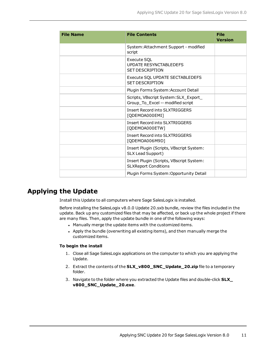| <b>File Name</b> | <b>File Contents</b>                                                       | <b>File</b><br><b>Version</b> |
|------------------|----------------------------------------------------------------------------|-------------------------------|
|                  | System: Attachment Support - modified<br>script                            |                               |
|                  | Execute SQL<br><b>UPDATE RESYNCTABLEDEFS</b><br><b>SET DESCRIPTION</b>     |                               |
|                  | Execute SQL UPDATE SECTABLEDEFS<br><b>SFT DESCRIPTION</b>                  |                               |
|                  | Plugin Forms System: Account Detail                                        |                               |
|                  | Scripts, VBscript System: SLX_Export_<br>Group_To_Excel -- modified script |                               |
|                  | <b>Insert Record into SLXTRIGGERS</b><br>[QDEMOA000EMI]                    |                               |
|                  | <b>Insert Record into SLXTRIGGERS</b><br>[QDEMOA000ETW]                    |                               |
|                  | <b>Insert Record into SLXTRIGGERS</b><br>[QDEMOA006M9D]                    |                               |
|                  | Insert Plugin (Scripts, VBscript System:<br>SLX Lead Support)              |                               |
|                  | Insert Plugin (Scripts, VBscript System:<br><b>SLXReport Conditions</b>    |                               |
|                  | Plugin Forms System: Opportunity Detail                                    |                               |

## **Applying the Update**

Install this Update to all computers where Sage SalesLogix is installed.

Before installing the SalesLogix v8.0.0 Update 20.sxb bundle, review the files included in the update. Back up any customized files that may be affected, or back up the whole project if there are many files. Then, apply the update bundle in one of the following ways:

- . Manually merge the update items with the customized items.
- Apply the bundle (overwriting all existing items), and then manually merge the customized items.

#### **To begin the install**

- 1. Close all Sage SalesLogix applications on the computer to which you are applying the Update.
- 2. Extract the contents of the **SLX\_v800\_SNC\_Update\_20.zip** file to a temporary folder.
- 3. Navigate to the folder where you extracted the Update files and double-click **SLX\_ v800\_SNC\_Update\_20.exe**.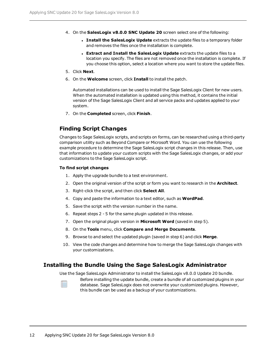- 4. On the **SalesLogix v8.0.0 SNC Update 20** screen select one of the following:
	- <sup>l</sup> **Install the SalesLogix Update** extracts the update files to a temporary folder and removes the files once the installation is complete.
	- <sup>l</sup> **Extract and Install the SalesLogix Update** extracts the update files to a location you specify. The files are not removed once the installation is complete. If you choose this option, select a location where you want to store the update files.
- 5. Click **Next**.
- 6. On the **Welcome** screen, click **Install** to install the patch.

Automated installations can be used to install the Sage SalesLogix Client for new users. When the automated installation is updated using this method, it contains the initial version of the Sage SalesLogix Client and all service packs and updates applied to your system.

7. On the **Completed** screen, click **Finish**.

#### **Finding Script Changes**

Changes to Sage SalesLogix scripts, and scripts on forms, can be researched using a third-party comparison utility such as Beyond Compare or Microsoft Word. You can use the following example procedure to determine the Sage SalesLogix script changes in this release. Then, use that information to update your custom scripts with the Sage SalesLogix changes, or add your customizations to the Sage SalesLogix script.

#### **To find script changes**

- 1. Apply the upgrade bundle to a test environment.
- 2. Open the original version of the script or form you want to research in the **Architect**.
- 3. Right-click the script, and then click **Select All**.
- 4. Copy and paste the information to a text editor, such as **WordPad**.
- 5. Save the script with the version number in the name.
- 6. Repeat steps 2 5 for the same plugin updated in this release.
- 7. Open the original plugin version in **Microsoft Word** (saved in step 5).
- 8. On the **Tools** menu, click **Compare and Merge Documents**.
- 9. Browse to and select the updated plugin (saved in step 6) and click **Merge**.
- 10. View the code changes and determine how to merge the Sage SalesLogix changes with your customizations.

#### **Installing the Bundle Using the Sage SalesLogix Administrator**

Use the Sage SalesLogix Administrator to install the SalesLogix v8.0.0 Update 20 bundle.



Before installing the update bundle, create a bundle of all customized plugins in your database. Sage SalesLogix does not overwrite your customized plugins. However, this bundle can be used as a backup of your customizations.